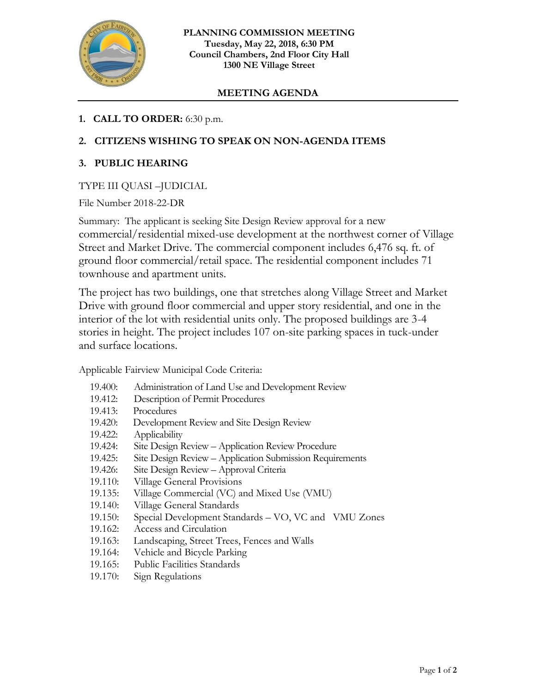

# **MEETING AGENDA**

## **1. CALL TO ORDER:** 6:30 p.m.

# **2. CITIZENS WISHING TO SPEAK ON NON-AGENDA ITEMS**

### **3. PUBLIC HEARING**

### TYPE III QUASI –JUDICIAL

File Number 2018-22-DR

Summary: The applicant is seeking Site Design Review approval for a new commercial/residential mixed-use development at the northwest corner of Village Street and Market Drive. The commercial component includes 6,476 sq. ft. of ground floor commercial/retail space. The residential component includes 71 townhouse and apartment units.

The project has two buildings, one that stretches along Village Street and Market Drive with ground floor commercial and upper story residential, and one in the interior of the lot with residential units only. The proposed buildings are 3-4 stories in height. The project includes 107 on-site parking spaces in tuck-under and surface locations.

Applicable Fairview Municipal Code Criteria:

| 19.400: | Administration of Land Use and Development Review        |
|---------|----------------------------------------------------------|
| 19.412: | Description of Permit Procedures                         |
| 19.413: | Procedures                                               |
| 19.420: | Development Review and Site Design Review                |
| 19.422: | Applicability                                            |
| 19.424: | Site Design Review – Application Review Procedure        |
| 19.425: | Site Design Review – Application Submission Requirements |
| 19.426: | Site Design Review - Approval Criteria                   |
| 19.110: | Village General Provisions                               |
| 19.135: | Village Commercial (VC) and Mixed Use (VMU)              |
| 19.140: | Village General Standards                                |
| 19.150: | Special Development Standards - VO, VC and VMU Zones     |
| 19.162: | Access and Circulation                                   |
| 19.163: | Landscaping, Street Trees, Fences and Walls              |
| 19.164: | Vehicle and Bicycle Parking                              |
| 19.165: | <b>Public Facilities Standards</b>                       |
| 19.170: | Sign Regulations                                         |
|         |                                                          |